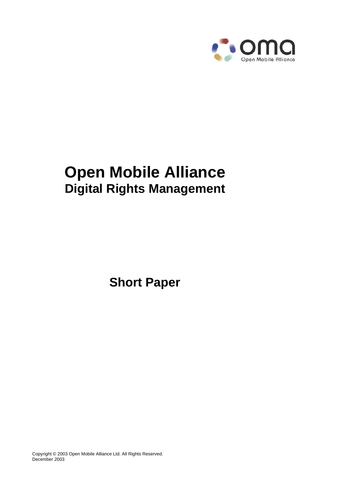

# **Open Mobile Alliance Digital Rights Management**

**Short Paper**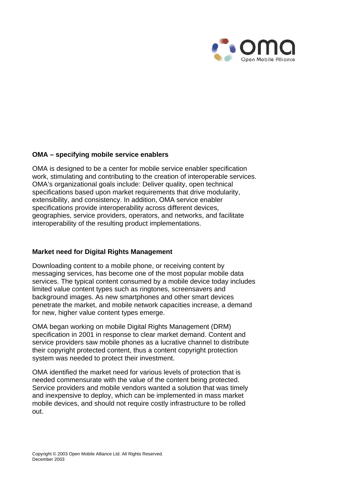

#### **OMA – specifying mobile service enablers**

OMA is designed to be a center for mobile service enabler specification work, stimulating and contributing to the creation of interoperable services. OMA's organizational goals include: Deliver quality, open technical specifications based upon market requirements that drive modularity, extensibility, and consistency. In addition, OMA service enabler specifications provide interoperability across different devices, geographies, service providers, operators, and networks, and facilitate interoperability of the resulting product implementations.

#### **Market need for Digital Rights Management**

Downloading content to a mobile phone, or receiving content by messaging services, has become one of the most popular mobile data services. The typical content consumed by a mobile device today includes limited value content types such as ringtones, screensavers and background images. As new smartphones and other smart devices penetrate the market, and mobile network capacities increase, a demand for new, higher value content types emerge.

OMA began working on mobile Digital Rights Management (DRM) specification in 2001 in response to clear market demand. Content and service providers saw mobile phones as a lucrative channel to distribute their copyright protected content, thus a content copyright protection system was needed to protect their investment.

OMA identified the market need for various levels of protection that is needed commensurate with the value of the content being protected. Service providers and mobile vendors wanted a solution that was timely and inexpensive to deploy, which can be implemented in mass market mobile devices, and should not require costly infrastructure to be rolled out.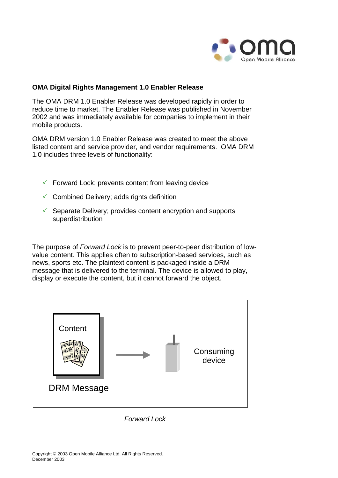

# **OMA Digital Rights Management 1.0 Enabler Release**

The OMA DRM 1.0 Enabler Release was developed rapidly in order to reduce time to market. The Enabler Release was published in November 2002 and was immediately available for companies to implement in their mobile products.

OMA DRM version 1.0 Enabler Release was created to meet the above listed content and service provider, and vendor requirements. OMA DRM 1.0 includes three levels of functionality:

- $\checkmark$  Forward Lock; prevents content from leaving device
- $\checkmark$  Combined Delivery; adds rights definition
- $\checkmark$  Separate Delivery; provides content encryption and supports superdistribution

The purpose of *Forward Lock* is to prevent peer-to-peer distribution of lowvalue content. This applies often to subscription-based services, such as news, sports etc. The plaintext content is packaged inside a DRM message that is delivered to the terminal. The device is allowed to play, display or execute the content, but it cannot forward the object.



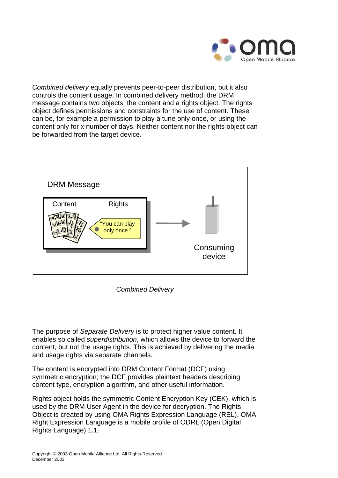

*Combined delivery* equally prevents peer-to-peer distribution, but it also controls the content usage. In combined delivery method, the DRM message contains two objects, the content and a rights object. The rights object defines permissions and constraints for the use of content. These can be, for example a permission to play a tune only once, or using the content only for x number of days. Neither content nor the rights object can be forwarded from the target device.



*Combined Delivery*

The purpose of *Separate Delivery* is to protect higher value content. It enables so called *superdistribution*, which allows the device to forward the content, but not the usage rights. This is achieved by delivering the media and usage rights via separate channels.

The content is encrypted into DRM Content Format (DCF) using symmetric encryption; the DCF provides plaintext headers describing content type, encryption algorithm, and other useful information.

Rights object holds the symmetric Content Encryption Key (CEK), which is used by the DRM User Agent in the device for decryption. The Rights Object is created by using OMA Rights Expression Language (REL). OMA Right Expression Language is a mobile profile of ODRL (Open Digital Rights Language) 1.1.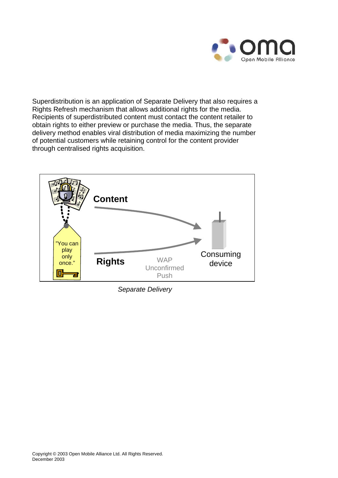![](_page_4_Picture_0.jpeg)

Superdistribution is an application of Separate Delivery that also requires a Rights Refresh mechanism that allows additional rights for the media. Recipients of superdistributed content must contact the content retailer to obtain rights to either preview or purchase the media. Thus, the separate delivery method enables viral distribution of media maximizing the number of potential customers while retaining control for the content provider through centralised rights acquisition.

![](_page_4_Figure_2.jpeg)

*Separate Delivery*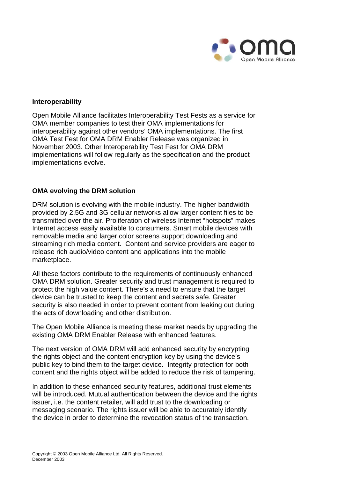![](_page_5_Picture_0.jpeg)

### **Interoperability**

Open Mobile Alliance facilitates Interoperability Test Fests as a service for OMA member companies to test their OMA implementations for interoperability against other vendors' OMA implementations. The first OMA Test Fest for OMA DRM Enabler Release was organized in November 2003. Other Interoperability Test Fest for OMA DRM implementations will follow regularly as the specification and the product implementations evolve.

## **OMA evolving the DRM solution**

DRM solution is evolving with the mobile industry. The higher bandwidth provided by 2,5G and 3G cellular networks allow larger content files to be transmitted over the air. Proliferation of wireless Internet "hotspots" makes Internet access easily available to consumers. Smart mobile devices with removable media and larger color screens support downloading and streaming rich media content. Content and service providers are eager to release rich audio/video content and applications into the mobile marketplace.

All these factors contribute to the requirements of continuously enhanced OMA DRM solution. Greater security and trust management is required to protect the high value content. There's a need to ensure that the target device can be trusted to keep the content and secrets safe. Greater security is also needed in order to prevent content from leaking out during the acts of downloading and other distribution.

The Open Mobile Alliance is meeting these market needs by upgrading the existing OMA DRM Enabler Release with enhanced features.

The next version of OMA DRM will add enhanced security by encrypting the rights object and the content encryption key by using the device's public key to bind them to the target device. Integrity protection for both content and the rights object will be added to reduce the risk of tampering.

In addition to these enhanced security features, additional trust elements will be introduced. Mutual authentication between the device and the rights issuer, i.e. the content retailer, will add trust to the downloading or messaging scenario. The rights issuer will be able to accurately identify the device in order to determine the revocation status of the transaction.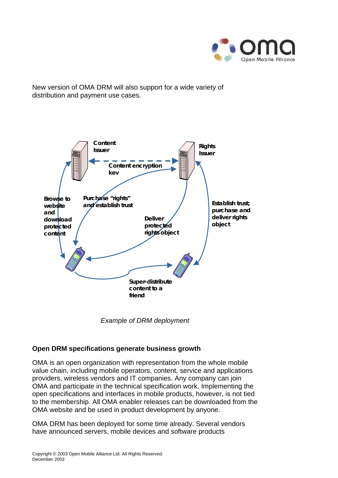![](_page_6_Picture_0.jpeg)

New version of OMA DRM will also support for a wide variety of distribution and payment use cases.

![](_page_6_Figure_2.jpeg)

*Example of DRM deployment* 

# **Open DRM specifications generate business growth**

OMA is an open organization with representation from the whole mobile value chain, including mobile operators, content, service and applications providers, wireless vendors and IT companies. Any company can join OMA and participate in the technical specification work. Implementing the open specifications and interfaces in mobile products, however, is not tied to the membership. All OMA enabler releases can be downloaded from the OMA website and be used in product development by anyone.

OMA DRM has been deployed for some time already. Several vendors have announced servers, mobile devices and software products